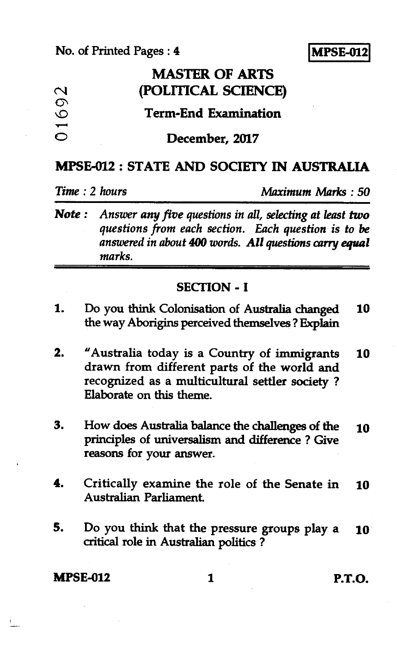### **No. of Printed Pages : 4**



# **MASTER OF ARTS c\1 (POLITICAL SCIENCE)**

### **Term-End Examination**

#### **0 December, 2017**

#### **MPSE-012 : STATE AND SOCIETY IN AUSTRALIA**

*Time : 2 hours Maximum Marks : 50* 

*Note : Answer any five questions in all, selecting at least two questions from each section. Each question is to be answered in about 400 words. All questions carry equal marks.* 

#### **SECTION - I**

- **1. Do you think Colonisation of Australia changed 10 the way Aborigins perceived themselves ? Explain**
- **2. "Australia today is a Country of immigrants 10 drawn from different parts of the world and recognized as a multicultural settler society ? Elaborate on this theme.**
- **3. How does Australia balance the challenges of the 10 principles of universalism and difference ? Give reasons for your answer.**
- **4. Critically examine the role of the Senate in 10 Australian Parliament.**
- **5. Do you think that the pressure groups play a 10 critical role in Australian politics ?**

**MPSE-012 1 P.T.O.**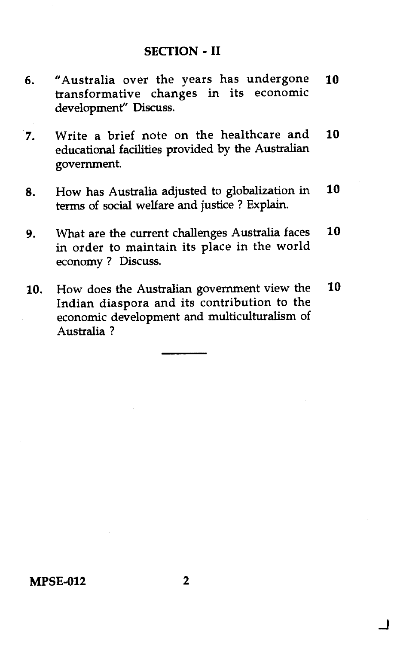- 6. "Australia over the years has undergone 10 transformative changes in its economic development" Discuss.
- 7. Write a brief note on the healthcare and 10 educational facilities provided by the Australian government.
- 8. How has Australia adjusted to globalization in 10 terms of social welfare and justice ? Explain.
- 9. What are the current challenges Australia faces 10 in order to maintain its place in the world economy ? Discuss.
- 10. How does the Australian government view the 10 Indian diaspora and its contribution to the economic development and multiculturalism of Australia ?

 $\overline{\mathsf{L}}$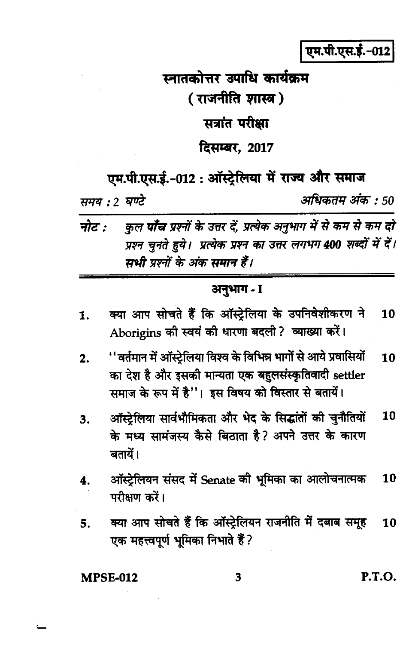एम.पी.एस.ई.-012

## स्नातकोत्तर उपाधि कार्यक्रम ( राजनीति शास्त्र ) सत्रांत परीक्षा दिसम्बर, 2017

एम.पी.एस.ई.-012 : ऑस्टेलिया में राज्य और समाज

अधिकतम अंक : 50

समय : 2 घण्टे

कुल **पाँच** प्रश्नों के उत्तर दें, प्रत्येक अनुभाग में से कम से कम **दो** नोट $\cdot$ प्रश्न चुनते हुये। प्रत्येक प्रश्न का उत्तर लगभग 400 शब्दों में दें। सभी प्रश्नों के अंक समान हैं।

#### अनुभाग - I

- क्या आप सोचते हैं कि ऑस्ट्रेलिया के उपनिवेशीकरण ने 10 1. Aborigins की स्वयं की धारणा बदली? व्याख्या करें।
- ''वर्तमान में ऑस्ट्रेलिया विश्व के विभिन्न भागों से आये प्रवासियों 10  $2.$ का देश है और इसकी मान्यता एक बहुलसंस्कृतिवादी settler समाज के रूप में है"। इस विषय को विस्तार से बतायें।
- ऑस्ट्रेलिया सार्वभौमिकता और भेद के सिद्धांतों की चुनौतियों 10 3. के मध्य सामंजस्य कैसे बिठाता है? अपने उत्तर के कारण बतायें।
- ऑस्ट्रेलियन संसद में Senate की भूमिका का आलोचनात्मक 10 4. परीक्षण करें।
- क्या आप सोचते हैं कि ऑस्ट्रेलियन राजनीति में दबाब समूह 5. 10 एक महत्त्वपूर्ण भूमिका निभाते हैं ?

**MPSE-012** 

3

P.T.O.